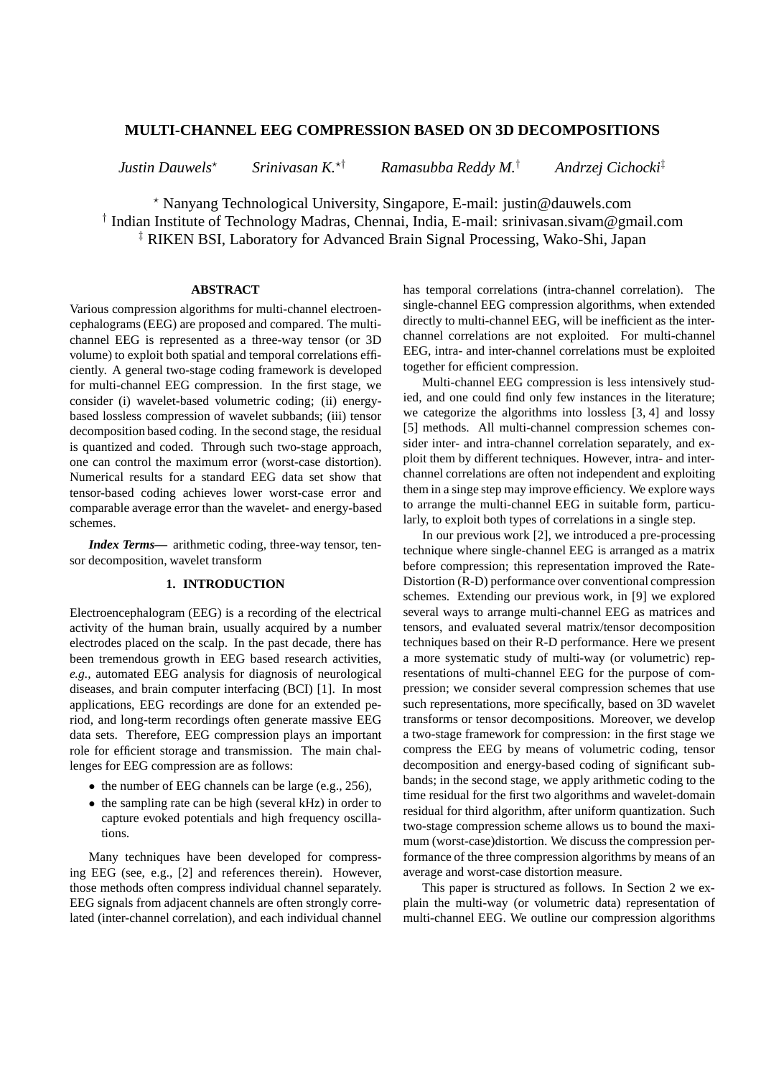# **MULTI-CHANNEL EEG COMPRESSION BASED ON 3D DECOMPOSITIONS**

*Justin Dauwels*<sup>⋆</sup> *Srinivasan K.*<sup>⋆</sup>† *Ramasubba Reddy M.*† *Andrzej Cichocki*‡

<sup>⋆</sup> Nanyang Technological University, Singapore, E-mail: justin@dauwels.com

† Indian Institute of Technology Madras, Chennai, India, E-mail: srinivasan.sivam@gmail.com ‡ RIKEN BSI, Laboratory for Advanced Brain Signal Processing, Wako-Shi, Japan

### **ABSTRACT**

Various compression algorithms for multi-channel electroencephalograms (EEG) are proposed and compared. The multichannel EEG is represented as a three-way tensor (or 3D volume) to exploit both spatial and temporal correlations efficiently. A general two-stage coding framework is developed for multi-channel EEG compression. In the first stage, we consider (i) wavelet-based volumetric coding; (ii) energybased lossless compression of wavelet subbands; (iii) tensor decomposition based coding. In the second stage, the residual is quantized and coded. Through such two-stage approach, one can control the maximum error (worst-case distortion). Numerical results for a standard EEG data set show that tensor-based coding achieves lower worst-case error and comparable average error than the wavelet- and energy-based schemes.

*Index Terms***—** arithmetic coding, three-way tensor, tensor decomposition, wavelet transform

### **1. INTRODUCTION**

Electroencephalogram (EEG) is a recording of the electrical activity of the human brain, usually acquired by a number electrodes placed on the scalp. In the past decade, there has been tremendous growth in EEG based research activities, *e.g.,* automated EEG analysis for diagnosis of neurological diseases, and brain computer interfacing (BCI) [1]. In most applications, EEG recordings are done for an extended period, and long-term recordings often generate massive EEG data sets. Therefore, EEG compression plays an important role for efficient storage and transmission. The main challenges for EEG compression are as follows:

- the number of EEG channels can be large (e.g., 256),
- the sampling rate can be high (several kHz) in order to capture evoked potentials and high frequency oscillations.

Many techniques have been developed for compressing EEG (see, e.g., [2] and references therein). However, those methods often compress individual channel separately. EEG signals from adjacent channels are often strongly correlated (inter-channel correlation), and each individual channel has temporal correlations (intra-channel correlation). The single-channel EEG compression algorithms, when extended directly to multi-channel EEG, will be inefficient as the interchannel correlations are not exploited. For multi-channel EEG, intra- and inter-channel correlations must be exploited together for efficient compression.

Multi-channel EEG compression is less intensively studied, and one could find only few instances in the literature; we categorize the algorithms into lossless [3, 4] and lossy [5] methods. All multi-channel compression schemes consider inter- and intra-channel correlation separately, and exploit them by different techniques. However, intra- and interchannel correlations are often not independent and exploiting them in a singe step may improve efficiency. We explore ways to arrange the multi-channel EEG in suitable form, particularly, to exploit both types of correlations in a single step.

In our previous work [2], we introduced a pre-processing technique where single-channel EEG is arranged as a matrix before compression; this representation improved the Rate-Distortion (R-D) performance over conventional compression schemes. Extending our previous work, in [9] we explored several ways to arrange multi-channel EEG as matrices and tensors, and evaluated several matrix/tensor decomposition techniques based on their R-D performance. Here we present a more systematic study of multi-way (or volumetric) representations of multi-channel EEG for the purpose of compression; we consider several compression schemes that use such representations, more specifically, based on 3D wavelet transforms or tensor decompositions. Moreover, we develop a two-stage framework for compression: in the first stage we compress the EEG by means of volumetric coding, tensor decomposition and energy-based coding of significant subbands; in the second stage, we apply arithmetic coding to the time residual for the first two algorithms and wavelet-domain residual for third algorithm, after uniform quantization. Such two-stage compression scheme allows us to bound the maximum (worst-case)distortion. We discuss the compression performance of the three compression algorithms by means of an average and worst-case distortion measure.

This paper is structured as follows. In Section 2 we explain the multi-way (or volumetric data) representation of multi-channel EEG. We outline our compression algorithms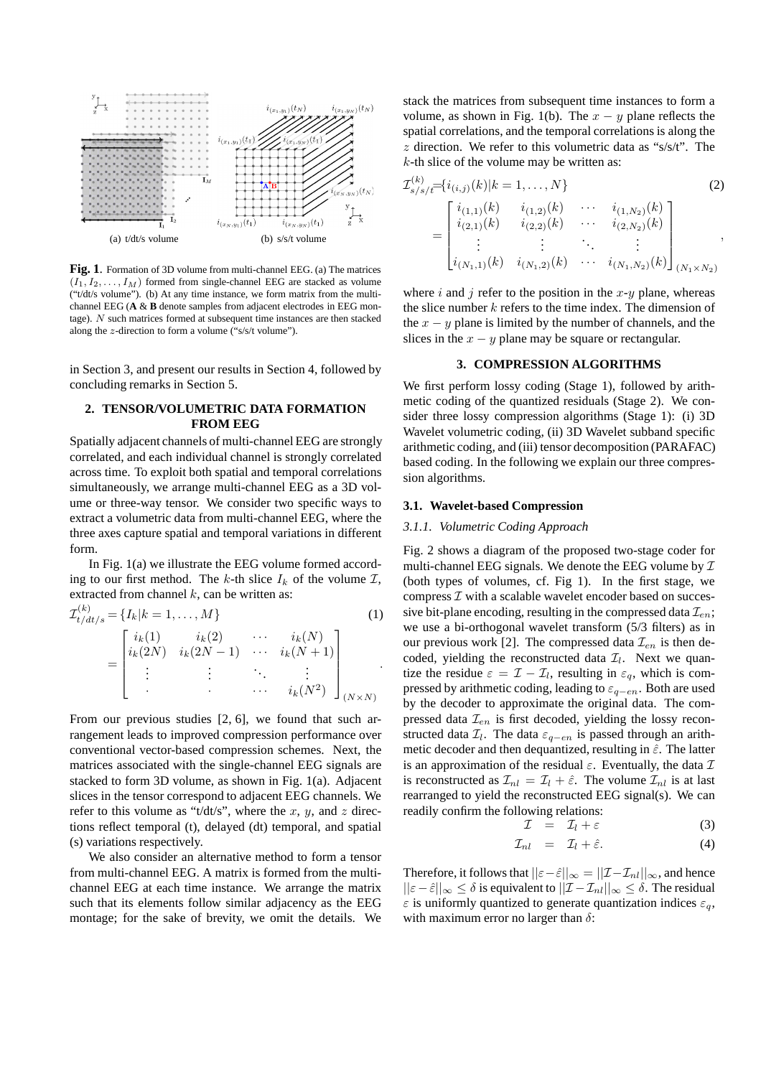

**Fig. 1**. Formation of 3D volume from multi-channel EEG. (a) The matrices  $(I_1, I_2, \ldots, I_M)$  formed from single-channel EEG are stacked as volume ("t/dt/s volume"). (b) At any time instance, we form matrix from the multichannel EEG (**A** & **B** denote samples from adjacent electrodes in EEG montage). N such matrices formed at subsequent time instances are then stacked along the z-direction to form a volume  $(*s/s/t$  volume").

in Section 3, and present our results in Section 4, followed by concluding remarks in Section 5.

# **2. TENSOR/VOLUMETRIC DATA FORMATION FROM EEG**

Spatially adjacent channels of multi-channel EEG are strongly correlated, and each individual channel is strongly correlated across time. To exploit both spatial and temporal correlations simultaneously, we arrange multi-channel EEG as a 3D volume or three-way tensor. We consider two specific ways to extract a volumetric data from multi-channel EEG, where the three axes capture spatial and temporal variations in different form.

In Fig. 1(a) we illustrate the EEG volume formed according to our first method. The k-th slice  $I_k$  of the volume  $I$ , extracted from channel  $k$ , can be written as:

$$
\mathcal{I}_{t/dt/s}^{(k)} = \{I_k | k = 1, ..., M\}
$$
\n
$$
= \begin{bmatrix}\ni_k(1) & i_k(2) & \cdots & i_k(N) \\
i_k(2N) & i_k(2N-1) & \cdots & i_k(N+1) \\
\vdots & \vdots & \ddots & \vdots \\
& \cdots & \cdots & i_k(N^2)\n\end{bmatrix}_{(N \times N)}
$$
\n(1)

From our previous studies [2, 6], we found that such arrangement leads to improved compression performance over conventional vector-based compression schemes. Next, the matrices associated with the single-channel EEG signals are stacked to form 3D volume, as shown in Fig. 1(a). Adjacent slices in the tensor correspond to adjacent EEG channels. We refer to this volume as "t/dt/s", where the x, y, and z directions reflect temporal (t), delayed (dt) temporal, and spatial (s) variations respectively.

We also consider an alternative method to form a tensor from multi-channel EEG. A matrix is formed from the multichannel EEG at each time instance. We arrange the matrix such that its elements follow similar adjacency as the EEG montage; for the sake of brevity, we omit the details. We stack the matrices from subsequent time instances to form a volume, as shown in Fig. 1(b). The  $x - y$  plane reflects the spatial correlations, and the temporal correlations is along the  $z$  direction. We refer to this volumetric data as "s/s/t". The  $k$ -th slice of the volume may be written as:

$$
\mathcal{I}_{s/s/t}^{(k)} = \begin{bmatrix} i_{(i,j)}(k)|k = 1, ..., N \\ i_{(1,1)}(k) & i_{(1,2)}(k) & \cdots & i_{(1,N_2)}(k) \\ i_{(2,1)}(k) & i_{(2,2)}(k) & \cdots & i_{(2,N_2)}(k) \\ \vdots & \vdots & \ddots & \vdots \\ i_{(N_1,1)}(k) & i_{(N_1,2)}(k) & \cdots & i_{(N_1,N_2)}(k) \end{bmatrix}_{(N_1 \times N_2)},
$$
\n(2)

where i and j refer to the position in the  $x-y$  plane, whereas the slice number  $k$  refers to the time index. The dimension of the  $x - y$  plane is limited by the number of channels, and the slices in the  $x - y$  plane may be square or rectangular.

# **3. COMPRESSION ALGORITHMS**

We first perform lossy coding (Stage 1), followed by arithmetic coding of the quantized residuals (Stage 2). We consider three lossy compression algorithms (Stage 1): (i) 3D Wavelet volumetric coding, (ii) 3D Wavelet subband specific arithmetic coding, and (iii) tensor decomposition (PARAFAC) based coding. In the following we explain our three compression algorithms.

#### **3.1. Wavelet-based Compression**

### *3.1.1. Volumetric Coding Approach*

Fig. 2 shows a diagram of the proposed two-stage coder for multi-channel EEG signals. We denote the EEG volume by  $\mathcal I$ (both types of volumes, cf. Fig 1). In the first stage, we compress  $\mathcal I$  with a scalable wavelet encoder based on successive bit-plane encoding, resulting in the compressed data  $\mathcal{I}_{en}$ ; we use a bi-orthogonal wavelet transform (5/3 filters) as in our previous work [2]. The compressed data  $\mathcal{I}_{en}$  is then decoded, yielding the reconstructed data  $\mathcal{I}_l$ . Next we quantize the residue  $\varepsilon = \mathcal{I} - \mathcal{I}_l$ , resulting in  $\varepsilon_q$ , which is compressed by arithmetic coding, leading to  $\varepsilon_{q-en}$ . Both are used by the decoder to approximate the original data. The compressed data  $\mathcal{I}_{en}$  is first decoded, yielding the lossy reconstructed data  $\mathcal{I}_l$ . The data  $\varepsilon_{q-en}$  is passed through an arithmetic decoder and then dequantized, resulting in  $\hat{\varepsilon}$ . The latter is an approximation of the residual  $\varepsilon$ . Eventually, the data  $\mathcal I$ is reconstructed as  $\mathcal{I}_{nl} = \mathcal{I}_l + \hat{\varepsilon}$ . The volume  $\mathcal{I}_{nl}$  is at last rearranged to yield the reconstructed EEG signal(s). We can readily confirm the following relations:

$$
\mathcal{I} = \mathcal{I}_l + \varepsilon \tag{3}
$$

$$
\mathcal{I}_{nl} = \mathcal{I}_l + \hat{\varepsilon}.\tag{4}
$$

Therefore, it follows that  $||\varepsilon-\hat{\varepsilon}||_{\infty}=||\mathcal{I}-\mathcal{I}_{nl}||_{\infty}$ , and hence  $||\varepsilon - \hat{\varepsilon}||_{\infty} \leq \delta$  is equivalent to  $||\mathcal{I} - \mathcal{I}_{nl}||_{\infty} \leq \delta$ . The residual  $\varepsilon$  is uniformly quantized to generate quantization indices  $\varepsilon_a$ , with maximum error no larger than  $\delta$ :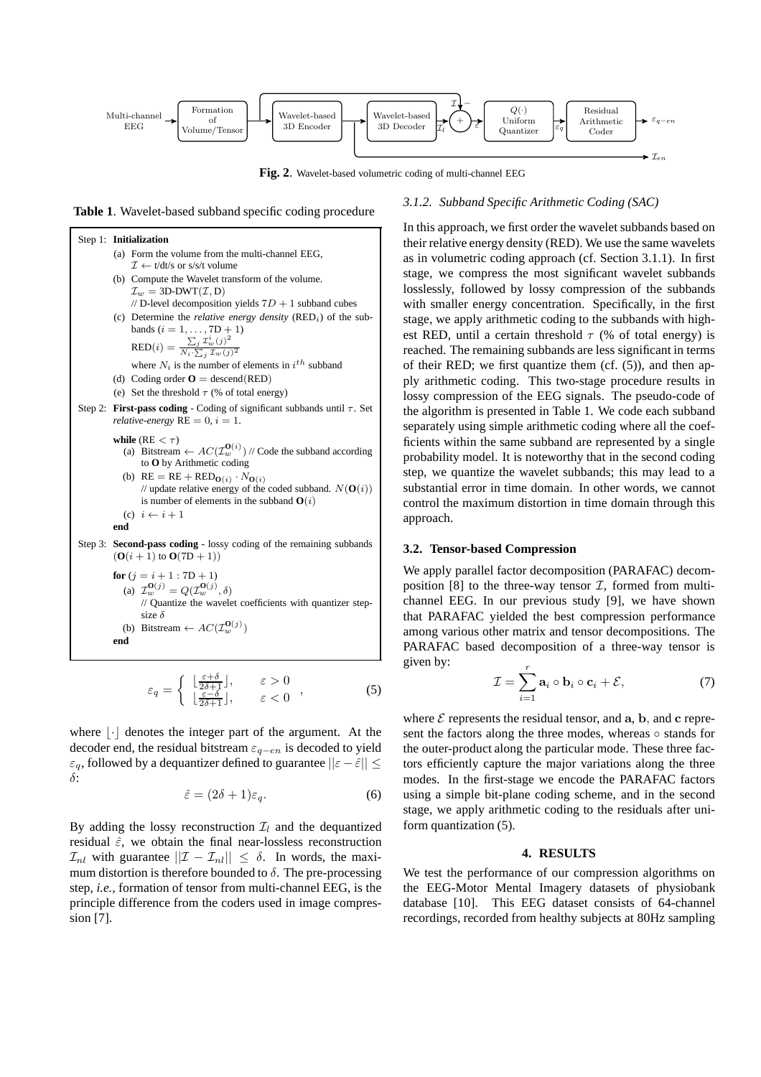

**Fig. 2**. Wavelet-based volumetric coding of multi-channel EEG

**Table 1**. Wavelet-based subband specific coding procedure



$$
\varepsilon_q = \begin{cases} \n\left[\frac{\varepsilon + \delta}{2\delta + 1}\right], & \varepsilon > 0 \\
\left[\frac{\varepsilon - \delta}{2\delta + 1}\right], & \varepsilon < 0\n\end{cases},
$$
\n(5)

where  $|\cdot|$  denotes the integer part of the argument. At the decoder end, the residual bitstream  $\varepsilon_{q-en}$  is decoded to yield  $\varepsilon_q$ , followed by a dequantizer defined to guarantee  $||\varepsilon - \hat{\varepsilon}|| \leq$ δ:

$$
\hat{\varepsilon} = (2\delta + 1)\varepsilon_q. \tag{6}
$$

By adding the lossy reconstruction  $\mathcal{I}_l$  and the dequantized residual  $\hat{\varepsilon}$ , we obtain the final near-lossless reconstruction  $\mathcal{I}_{nl}$  with guarantee  $||\mathcal{I} - \mathcal{I}_{nl}|| \leq \delta$ . In words, the maximum distortion is therefore bounded to  $\delta$ . The pre-processing step, *i.e.,* formation of tensor from multi-channel EEG, is the principle difference from the coders used in image compression [7].

# *3.1.2. Subband Specific Arithmetic Coding (SAC)*

In this approach, we first order the wavelet subbands based on their relative energy density (RED). We use the same wavelets as in volumetric coding approach (cf. Section 3.1.1). In first stage, we compress the most significant wavelet subbands losslessly, followed by lossy compression of the subbands with smaller energy concentration. Specifically, in the first stage, we apply arithmetic coding to the subbands with highest RED, until a certain threshold  $\tau$  (% of total energy) is reached. The remaining subbands are less significant in terms of their RED; we first quantize them (cf. (5)), and then apply arithmetic coding. This two-stage procedure results in lossy compression of the EEG signals. The pseudo-code of the algorithm is presented in Table 1. We code each subband separately using simple arithmetic coding where all the coefficients within the same subband are represented by a single probability model. It is noteworthy that in the second coding step, we quantize the wavelet subbands; this may lead to a substantial error in time domain. In other words, we cannot control the maximum distortion in time domain through this approach.

### **3.2. Tensor-based Compression**

We apply parallel factor decomposition (PARAFAC) decomposition [8] to the three-way tensor  $\mathcal{I}$ , formed from multichannel EEG. In our previous study [9], we have shown that PARAFAC yielded the best compression performance among various other matrix and tensor decompositions. The PARAFAC based decomposition of a three-way tensor is given by:

$$
\mathcal{I} = \sum_{i=1}^{r} \mathbf{a}_i \circ \mathbf{b}_i \circ \mathbf{c}_i + \mathcal{E}, \tag{7}
$$

where  $\mathcal E$  represents the residual tensor, and a, b, and c represent the factors along the three modes, whereas ∘ stands for the outer-product along the particular mode. These three factors efficiently capture the major variations along the three modes. In the first-stage we encode the PARAFAC factors using a simple bit-plane coding scheme, and in the second stage, we apply arithmetic coding to the residuals after uniform quantization (5).

#### **4. RESULTS**

We test the performance of our compression algorithms on the EEG-Motor Mental Imagery datasets of physiobank database [10]. This EEG dataset consists of 64-channel recordings, recorded from healthy subjects at 80Hz sampling